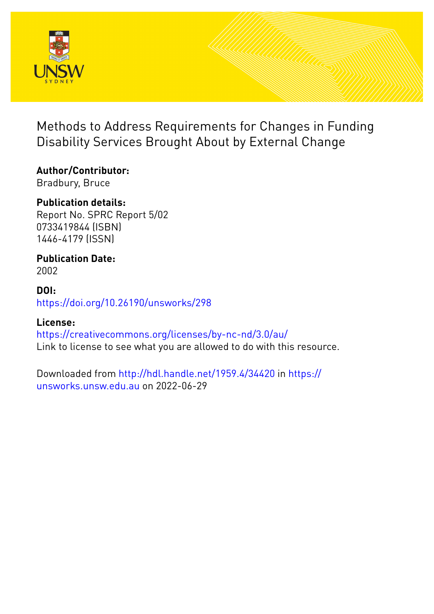

Methods to Address Requirements for Changes in Funding Disability Services Brought About by External Change

# **Author/Contributor:**

Bradbury, Bruce

## **Publication details:**

Report No. SPRC Report 5/02 0733419844 (ISBN) 1446-4179 (ISSN)

# **Publication Date:**

2002

## **DOI:** [https://doi.org/10.26190/unsworks/298](http://dx.doi.org/https://doi.org/10.26190/unsworks/298)

## **License:**

<https://creativecommons.org/licenses/by-nc-nd/3.0/au/> Link to license to see what you are allowed to do with this resource.

Downloaded from <http://hdl.handle.net/1959.4/34420> in [https://](https://unsworks.unsw.edu.au) [unsworks.unsw.edu.au](https://unsworks.unsw.edu.au) on 2022-06-29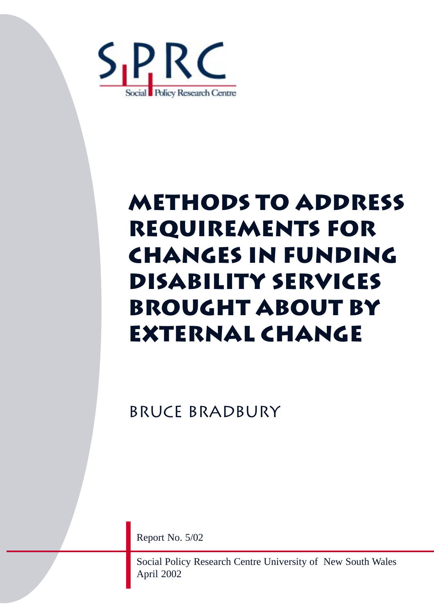

# **MetHods to ADDRess REquirements for changes in funding disability Services brought about by external change**

Bruce bradbury

Report No. 5/02

Social Policy Research Centre University of New South Wales April 2002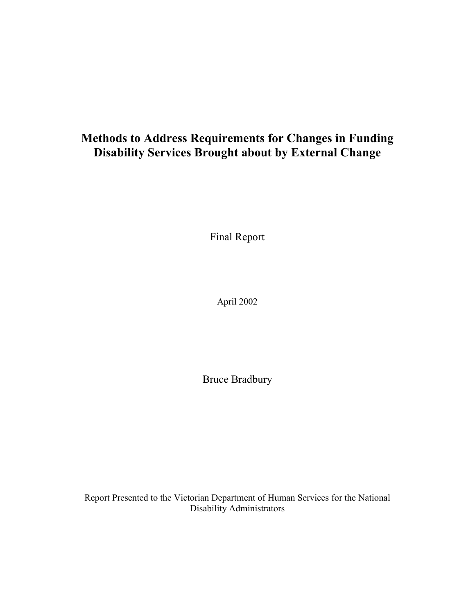## **Methods to Address Requirements for Changes in Funding Disability Services Brought about by External Change**

Final Report

April 2002

Bruce Bradbury

Report Presented to the Victorian Department of Human Services for the National Disability Administrators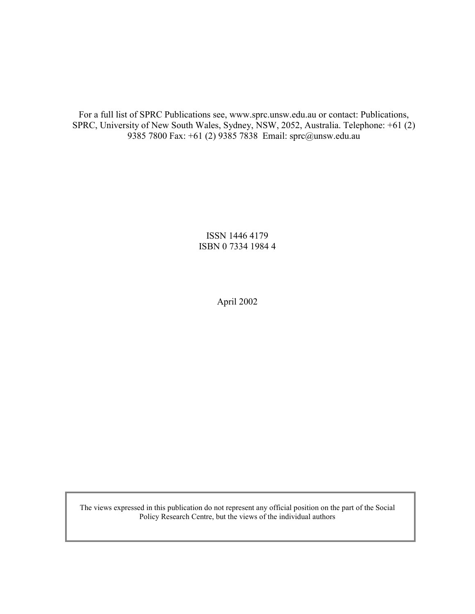For a full list of SPRC Publications see, www.sprc.unsw.edu.au or contact: Publications, SPRC, University of New South Wales, Sydney, NSW, 2052, Australia. Telephone: +61 (2) 9385 7800 Fax: +61 (2) 9385 7838 Email: sprc@unsw.edu.au

> ISSN 1446 4179 ISBN 0 7334 1984 4

> > April 2002

The views expressed in this publication do not represent any official position on the part of the Social Policy Research Centre, but the views of the individual authors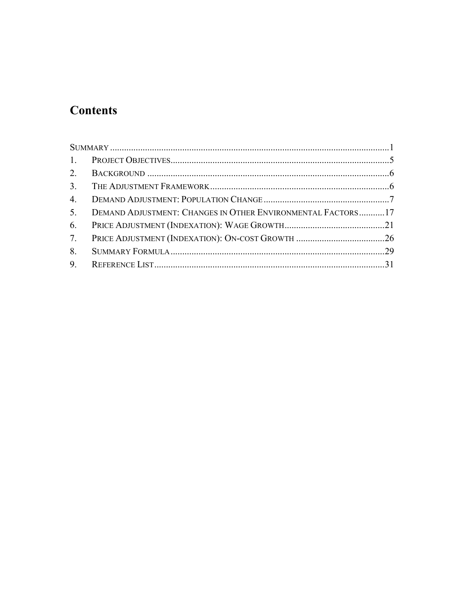# **Contents**

| 4.             |                                                             |  |
|----------------|-------------------------------------------------------------|--|
| 5 <sub>1</sub> | DEMAND ADJUSTMENT: CHANGES IN OTHER ENVIRONMENTAL FACTORS17 |  |
| 6.             |                                                             |  |
| 7.             |                                                             |  |
| 8.             |                                                             |  |
|                |                                                             |  |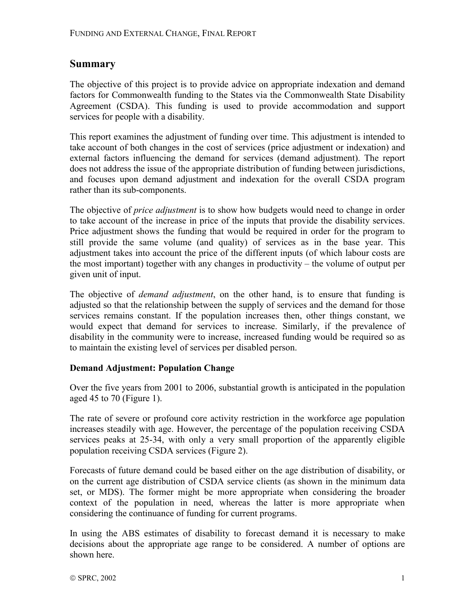## **Summary**

The objective of this project is to provide advice on appropriate indexation and demand factors for Commonwealth funding to the States via the Commonwealth State Disability Agreement (CSDA). This funding is used to provide accommodation and support services for people with a disability.

This report examines the adjustment of funding over time. This adjustment is intended to take account of both changes in the cost of services (price adjustment or indexation) and external factors influencing the demand for services (demand adjustment). The report does not address the issue of the appropriate distribution of funding between jurisdictions, and focuses upon demand adjustment and indexation for the overall CSDA program rather than its sub-components.

The objective of *price adjustment* is to show how budgets would need to change in order to take account of the increase in price of the inputs that provide the disability services. Price adjustment shows the funding that would be required in order for the program to still provide the same volume (and quality) of services as in the base year. This adjustment takes into account the price of the different inputs (of which labour costs are the most important) together with any changes in productivity  $-$  the volume of output per given unit of input.

The objective of *demand adjustment*, on the other hand, is to ensure that funding is adjusted so that the relationship between the supply of services and the demand for those services remains constant. If the population increases then, other things constant, we would expect that demand for services to increase. Similarly, if the prevalence of disability in the community were to increase, increased funding would be required so as to maintain the existing level of services per disabled person.

## **Demand Adjustment: Population Change**

Over the five years from 2001 to 2006, substantial growth is anticipated in the population aged 45 to 70 (Figure 1).

The rate of severe or profound core activity restriction in the workforce age population increases steadily with age. However, the percentage of the population receiving CSDA services peaks at 25-34, with only a very small proportion of the apparently eligible population receiving CSDA services (Figure 2).

Forecasts of future demand could be based either on the age distribution of disability, or on the current age distribution of CSDA service clients (as shown in the minimum data set, or MDS). The former might be more appropriate when considering the broader context of the population in need, whereas the latter is more appropriate when considering the continuance of funding for current programs.

In using the ABS estimates of disability to forecast demand it is necessary to make decisions about the appropriate age range to be considered. A number of options are shown here.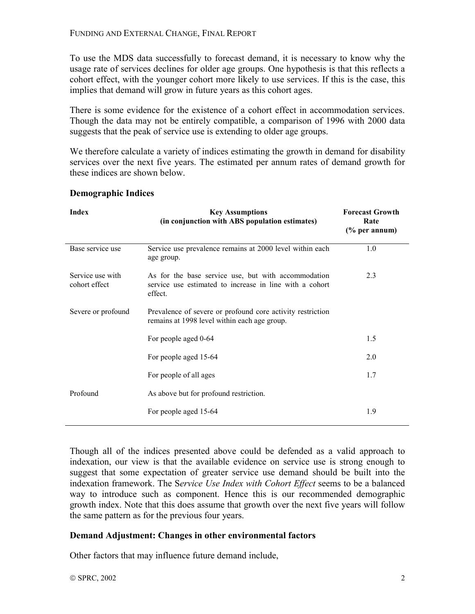To use the MDS data successfully to forecast demand, it is necessary to know why the usage rate of services declines for older age groups. One hypothesis is that this reflects a cohort effect, with the younger cohort more likely to use services. If this is the case, this implies that demand will grow in future years as this cohort ages.

There is some evidence for the existence of a cohort effect in accommodation services. Though the data may not be entirely compatible, a comparison of 1996 with 2000 data suggests that the peak of service use is extending to older age groups.

We therefore calculate a variety of indices estimating the growth in demand for disability services over the next five years. The estimated per annum rates of demand growth for these indices are shown below.

| <b>Index</b>                      | <b>Key Assumptions</b><br>(in conjunction with ABS population estimates)                                                  | <b>Forecast Growth</b><br>Rate<br>$(\%$ per annum) |
|-----------------------------------|---------------------------------------------------------------------------------------------------------------------------|----------------------------------------------------|
| Base service use                  | Service use prevalence remains at 2000 level within each<br>age group.                                                    | 1.0                                                |
| Service use with<br>cohort effect | As for the base service use, but with accommodation<br>service use estimated to increase in line with a cohort<br>effect. | 2.3                                                |
| Severe or profound                | Prevalence of severe or profound core activity restriction<br>remains at 1998 level within each age group.                |                                                    |
|                                   | For people aged 0-64                                                                                                      | 1.5                                                |
|                                   | For people aged 15-64                                                                                                     | 2.0                                                |
|                                   | For people of all ages                                                                                                    | 1.7                                                |
| Profound                          | As above but for profound restriction.                                                                                    |                                                    |
|                                   | For people aged 15-64                                                                                                     | 1.9                                                |

#### **Demographic Indices**

Though all of the indices presented above could be defended as a valid approach to indexation, our view is that the available evidence on service use is strong enough to suggest that some expectation of greater service use demand should be built into the indexation framework. The S*ervice Use Index with Cohort Effect* seems to be a balanced way to introduce such as component. Hence this is our recommended demographic growth index. Note that this does assume that growth over the next five years will follow the same pattern as for the previous four years.

## **Demand Adjustment: Changes in other environmental factors**

Other factors that may influence future demand include,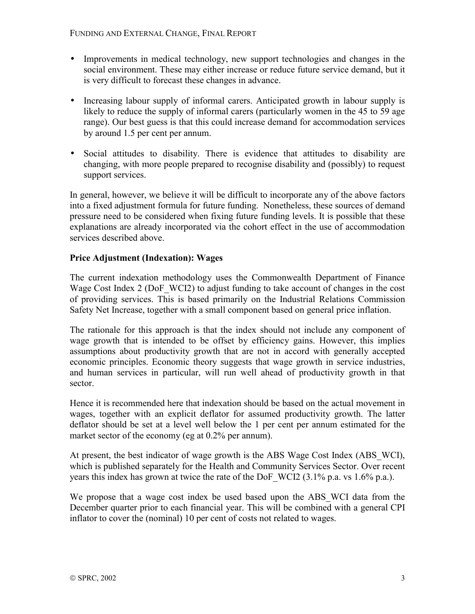- Improvements in medical technology, new support technologies and changes in the social environment. These may either increase or reduce future service demand, but it is very difficult to forecast these changes in advance.
- Increasing labour supply of informal carers. Anticipated growth in labour supply is likely to reduce the supply of informal carers (particularly women in the 45 to 59 age range). Our best guess is that this could increase demand for accommodation services by around 1.5 per cent per annum.
- Social attitudes to disability. There is evidence that attitudes to disability are changing, with more people prepared to recognise disability and (possibly) to request support services.

In general, however, we believe it will be difficult to incorporate any of the above factors into a fixed adjustment formula for future funding. Nonetheless, these sources of demand pressure need to be considered when fixing future funding levels. It is possible that these explanations are already incorporated via the cohort effect in the use of accommodation services described above.

## **Price Adjustment (Indexation): Wages**

The current indexation methodology uses the Commonwealth Department of Finance Wage Cost Index 2 (DoF WCI2) to adjust funding to take account of changes in the cost of providing services. This is based primarily on the Industrial Relations Commission Safety Net Increase, together with a small component based on general price inflation.

The rationale for this approach is that the index should not include any component of wage growth that is intended to be offset by efficiency gains. However, this implies assumptions about productivity growth that are not in accord with generally accepted economic principles. Economic theory suggests that wage growth in service industries, and human services in particular, will run well ahead of productivity growth in that sector.

Hence it is recommended here that indexation should be based on the actual movement in wages, together with an explicit deflator for assumed productivity growth. The latter deflator should be set at a level well below the 1 per cent per annum estimated for the market sector of the economy (eg at 0.2% per annum).

At present, the best indicator of wage growth is the ABS Wage Cost Index (ABS\_WCI), which is published separately for the Health and Community Services Sector. Over recent years this index has grown at twice the rate of the DoF\_WCI2 (3.1% p.a. vs 1.6% p.a.).

We propose that a wage cost index be used based upon the ABS\_WCI data from the December quarter prior to each financial year. This will be combined with a general CPI inflator to cover the (nominal) 10 per cent of costs not related to wages.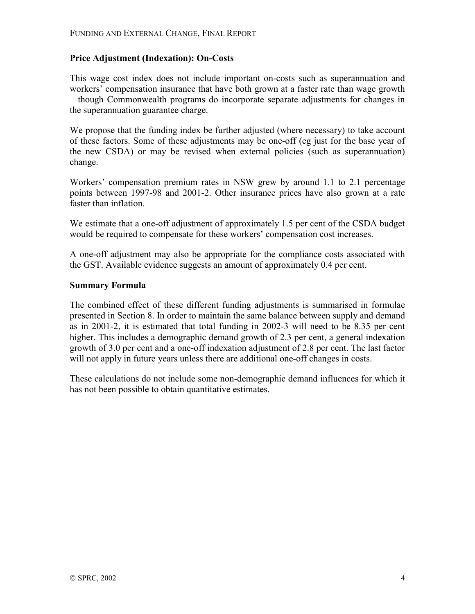#### **Price Adjustment (Indexation): On-Costs**

This wage cost index does not include important on-costs such as superannuation and workers' compensation insurance that have both grown at a faster rate than wage growth – though Commonwealth programs do incorporate separate adjustments for changes in the superannuation guarantee charge.

We propose that the funding index be further adjusted (where necessary) to take account of these factors. Some of these adjustments may be one-off (eg just for the base year of the new CSDA) or may be revised when external policies (such as superannuation) change.

Workers' compensation premium rates in NSW grew by around 1.1 to 2.1 percentage points between 1997-98 and 2001-2. Other insurance prices have also grown at a rate faster than inflation.

We estimate that a one-off adjustment of approximately 1.5 per cent of the CSDA budget would be required to compensate for these workers' compensation cost increases.

A one-off adjustment may also be appropriate for the compliance costs associated with the GST. Available evidence suggests an amount of approximately 0.4 per cent.

#### **Summary Formula**

The combined effect of these different funding adjustments is summarised in formulae presented in Section 8. In order to maintain the same balance between supply and demand as in 2001-2, it is estimated that total funding in 2002-3 will need to be 8.35 per cent higher. This includes a demographic demand growth of 2.3 per cent, a general indexation growth of 3.0 per cent and a one-off indexation adjustment of 2.8 per cent. The last factor will not apply in future years unless there are additional one-off changes in costs.

These calculations do not include some non-demographic demand influences for which it has not been possible to obtain quantitative estimates.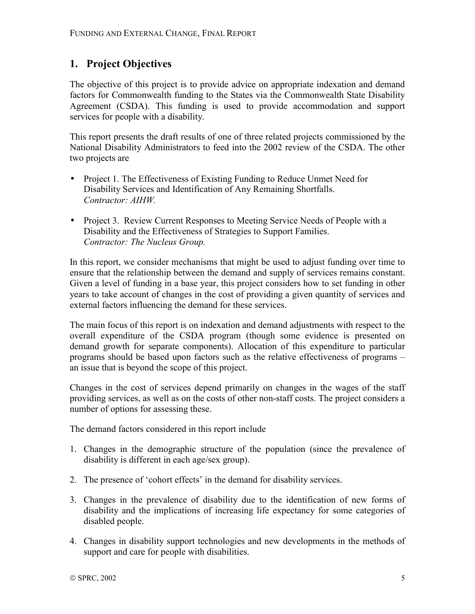## **1. Project Objectives**

The objective of this project is to provide advice on appropriate indexation and demand factors for Commonwealth funding to the States via the Commonwealth State Disability Agreement (CSDA). This funding is used to provide accommodation and support services for people with a disability.

This report presents the draft results of one of three related projects commissioned by the National Disability Administrators to feed into the 2002 review of the CSDA. The other two projects are

- Project 1. The Effectiveness of Existing Funding to Reduce Unmet Need for Disability Services and Identification of Any Remaining Shortfalls. *Contractor: AIHW.*
- Project 3. Review Current Responses to Meeting Service Needs of People with a Disability and the Effectiveness of Strategies to Support Families. *Contractor: The Nucleus Group.*

In this report, we consider mechanisms that might be used to adjust funding over time to ensure that the relationship between the demand and supply of services remains constant. Given a level of funding in a base year, this project considers how to set funding in other years to take account of changes in the cost of providing a given quantity of services and external factors influencing the demand for these services.

The main focus of this report is on indexation and demand adjustments with respect to the overall expenditure of the CSDA program (though some evidence is presented on demand growth for separate components). Allocation of this expenditure to particular programs should be based upon factors such as the relative effectiveness of programs  $$ an issue that is beyond the scope of this project.

Changes in the cost of services depend primarily on changes in the wages of the staff providing services, as well as on the costs of other non-staff costs. The project considers a number of options for assessing these.

The demand factors considered in this report include

- 1. Changes in the demographic structure of the population (since the prevalence of disability is different in each age/sex group).
- 2. The presence of 'cohort effects' in the demand for disability services.
- 3. Changes in the prevalence of disability due to the identification of new forms of disability and the implications of increasing life expectancy for some categories of disabled people.
- 4. Changes in disability support technologies and new developments in the methods of support and care for people with disabilities.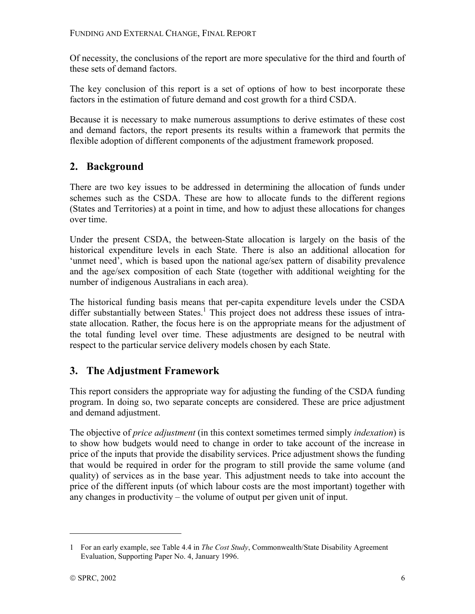Of necessity, the conclusions of the report are more speculative for the third and fourth of these sets of demand factors.

The key conclusion of this report is a set of options of how to best incorporate these factors in the estimation of future demand and cost growth for a third CSDA.

Because it is necessary to make numerous assumptions to derive estimates of these cost and demand factors, the report presents its results within a framework that permits the flexible adoption of different components of the adjustment framework proposed.

## **2. Background**

There are two key issues to be addressed in determining the allocation of funds under schemes such as the CSDA. These are how to allocate funds to the different regions (States and Territories) at a point in time, and how to adjust these allocations for changes over time.

Under the present CSDA, the between-State allocation is largely on the basis of the historical expenditure levels in each State. There is also an additional allocation for 'unmet need', which is based upon the national age/sex pattern of disability prevalence and the age/sex composition of each State (together with additional weighting for the number of indigenous Australians in each area).

The historical funding basis means that per-capita expenditure levels under the CSDA differ substantially between States.<sup>1</sup> This project does not address these issues of intrastate allocation. Rather, the focus here is on the appropriate means for the adjustment of the total funding level over time. These adjustments are designed to be neutral with respect to the particular service delivery models chosen by each State.

## **3. The Adjustment Framework**

This report considers the appropriate way for adjusting the funding of the CSDA funding program. In doing so, two separate concepts are considered. These are price adjustment and demand adjustment.

The objective of *price adjustment* (in this context sometimes termed simply *indexation*) is to show how budgets would need to change in order to take account of the increase in price of the inputs that provide the disability services. Price adjustment shows the funding that would be required in order for the program to still provide the same volume (and quality) of services as in the base year. This adjustment needs to take into account the price of the different inputs (of which labour costs are the most important) together with any changes in productivity  $-$  the volume of output per given unit of input.

<sup>1</sup> For an early example, see Table 4.4 in *The Cost Study*, Commonwealth/State Disability Agreement Evaluation, Supporting Paper No. 4, January 1996.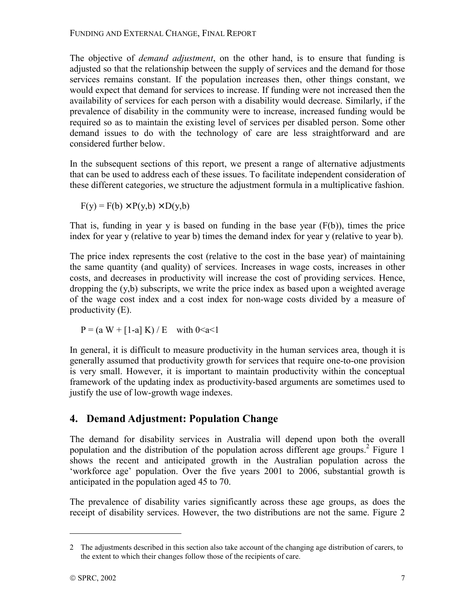The objective of *demand adjustment*, on the other hand, is to ensure that funding is adjusted so that the relationship between the supply of services and the demand for those services remains constant. If the population increases then, other things constant, we would expect that demand for services to increase. If funding were not increased then the availability of services for each person with a disability would decrease. Similarly, if the prevalence of disability in the community were to increase, increased funding would be required so as to maintain the existing level of services per disabled person. Some other demand issues to do with the technology of care are less straightforward and are considered further below.

In the subsequent sections of this report, we present a range of alternative adjustments that can be used to address each of these issues. To facilitate independent consideration of these different categories, we structure the adjustment formula in a multiplicative fashion.

 $F(y) = F(b) \times P(y, b) \times D(y, b)$ 

That is, funding in year y is based on funding in the base year (F(b)), times the price index for year y (relative to year b) times the demand index for year y (relative to year b).

The price index represents the cost (relative to the cost in the base year) of maintaining the same quantity (and quality) of services. Increases in wage costs, increases in other costs, and decreases in productivity will increase the cost of providing services. Hence, dropping the (y,b) subscripts, we write the price index as based upon a weighted average of the wage cost index and a cost index for non-wage costs divided by a measure of productivity (E).

 $P = (a W + [1-a] K) / E$  with  $0 \le a \le 1$ 

In general, it is difficult to measure productivity in the human services area, though it is generally assumed that productivity growth for services that require one-to-one provision is very small. However, it is important to maintain productivity within the conceptual framework of the updating index as productivity-based arguments are sometimes used to justify the use of low-growth wage indexes.

## **4. Demand Adjustment: Population Change**

The demand for disability services in Australia will depend upon both the overall population and the distribution of the population across different age groups.<sup>2</sup> Figure 1 shows the recent and anticipated growth in the Australian population across the ëworkforce ageí population. Over the five years 2001 to 2006, substantial growth is anticipated in the population aged 45 to 70.

The prevalence of disability varies significantly across these age groups, as does the receipt of disability services. However, the two distributions are not the same. Figure 2

<sup>2</sup> The adjustments described in this section also take account of the changing age distribution of carers, to the extent to which their changes follow those of the recipients of care.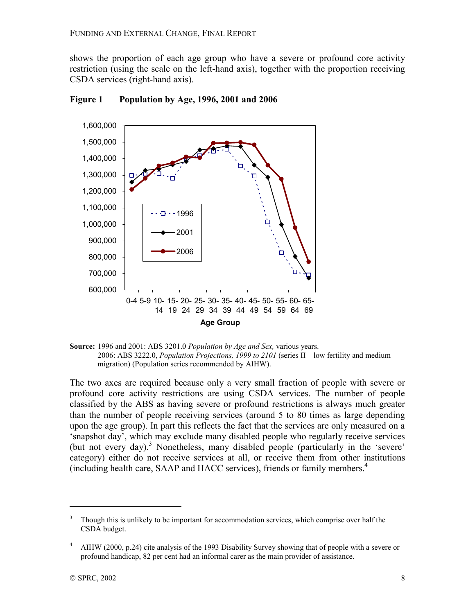shows the proportion of each age group who have a severe or profound core activity restriction (using the scale on the left-hand axis), together with the proportion receiving CSDA services (right-hand axis).



**Figure 1 Population by Age, 1996, 2001 and 2006** 



The two axes are required because only a very small fraction of people with severe or profound core activity restrictions are using CSDA services. The number of people classified by the ABS as having severe or profound restrictions is always much greater than the number of people receiving services (around 5 to 80 times as large depending upon the age group). In part this reflects the fact that the services are only measured on a ësnapshot dayí, which may exclude many disabled people who regularly receive services (but not every day).<sup>3</sup> Nonetheless, many disabled people (particularly in the 'severe' category) either do not receive services at all, or receive them from other institutions (including health care, SAAP and HACC services), friends or family members.4

<u>.</u>

<sup>3</sup> Though this is unlikely to be important for accommodation services, which comprise over half the CSDA budget.

<sup>4</sup> AIHW (2000, p.24) cite analysis of the 1993 Disability Survey showing that of people with a severe or profound handicap, 82 per cent had an informal carer as the main provider of assistance.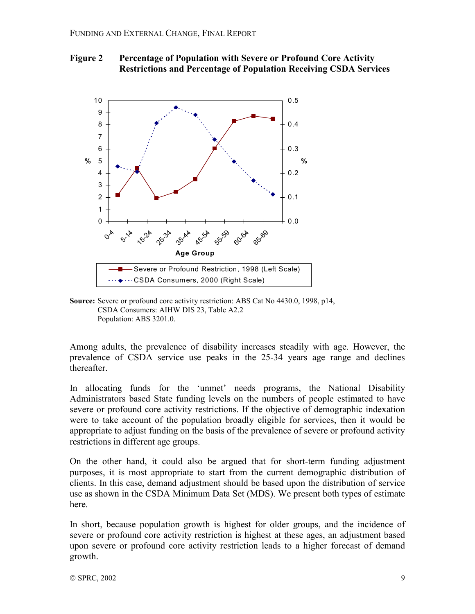



**Source:** Severe or profound core activity restriction: ABS Cat No 4430.0, 1998, p14, CSDA Consumers: AIHW DIS 23, Table A2.2 Population: ABS 3201.0.

Among adults, the prevalence of disability increases steadily with age. However, the prevalence of CSDA service use peaks in the 25-34 years age range and declines thereafter.

In allocating funds for the 'unmet' needs programs, the National Disability Administrators based State funding levels on the numbers of people estimated to have severe or profound core activity restrictions. If the objective of demographic indexation were to take account of the population broadly eligible for services, then it would be appropriate to adjust funding on the basis of the prevalence of severe or profound activity restrictions in different age groups.

On the other hand, it could also be argued that for short-term funding adjustment purposes, it is most appropriate to start from the current demographic distribution of clients. In this case, demand adjustment should be based upon the distribution of service use as shown in the CSDA Minimum Data Set (MDS). We present both types of estimate here.

In short, because population growth is highest for older groups, and the incidence of severe or profound core activity restriction is highest at these ages, an adjustment based upon severe or profound core activity restriction leads to a higher forecast of demand growth.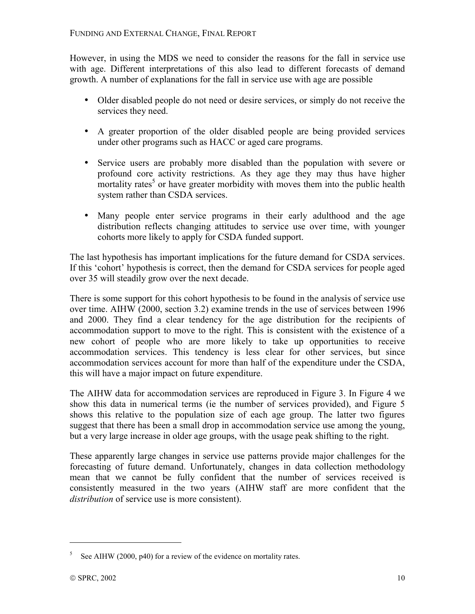However, in using the MDS we need to consider the reasons for the fall in service use with age. Different interpretations of this also lead to different forecasts of demand growth. A number of explanations for the fall in service use with age are possible

- Older disabled people do not need or desire services, or simply do not receive the services they need.
- A greater proportion of the older disabled people are being provided services under other programs such as HACC or aged care programs.
- Service users are probably more disabled than the population with severe or profound core activity restrictions. As they age they may thus have higher mortality rates<sup>5</sup> or have greater morbidity with moves them into the public health system rather than CSDA services.
- Many people enter service programs in their early adulthood and the age distribution reflects changing attitudes to service use over time, with younger cohorts more likely to apply for CSDA funded support.

The last hypothesis has important implications for the future demand for CSDA services. If this 'cohort' hypothesis is correct, then the demand for CSDA services for people aged over 35 will steadily grow over the next decade.

There is some support for this cohort hypothesis to be found in the analysis of service use over time. AIHW (2000, section 3.2) examine trends in the use of services between 1996 and 2000. They find a clear tendency for the age distribution for the recipients of accommodation support to move to the right. This is consistent with the existence of a new cohort of people who are more likely to take up opportunities to receive accommodation services. This tendency is less clear for other services, but since accommodation services account for more than half of the expenditure under the CSDA, this will have a major impact on future expenditure.

The AIHW data for accommodation services are reproduced in Figure 3. In Figure 4 we show this data in numerical terms (ie the number of services provided), and Figure 5 shows this relative to the population size of each age group. The latter two figures suggest that there has been a small drop in accommodation service use among the young, but a very large increase in older age groups, with the usage peak shifting to the right.

These apparently large changes in service use patterns provide major challenges for the forecasting of future demand. Unfortunately, changes in data collection methodology mean that we cannot be fully confident that the number of services received is consistently measured in the two years (AIHW staff are more confident that the *distribution* of service use is more consistent).

 $5$  See AIHW (2000, p40) for a review of the evidence on mortality rates.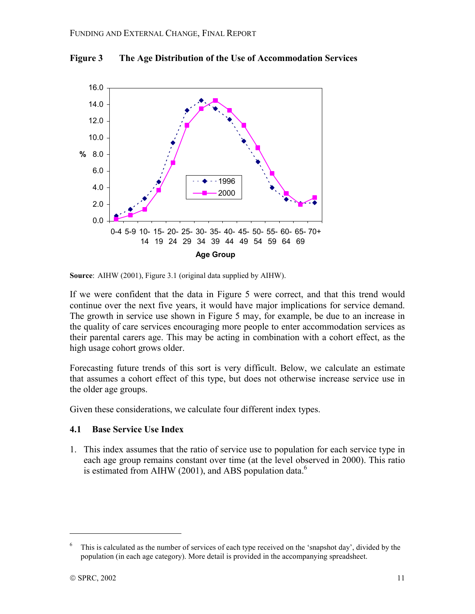

**Figure 3 The Age Distribution of the Use of Accommodation Services** 

If we were confident that the data in Figure 5 were correct, and that this trend would continue over the next five years, it would have major implications for service demand. The growth in service use shown in Figure 5 may, for example, be due to an increase in the quality of care services encouraging more people to enter accommodation services as their parental carers age. This may be acting in combination with a cohort effect, as the high usage cohort grows older.

Forecasting future trends of this sort is very difficult. Below, we calculate an estimate that assumes a cohort effect of this type, but does not otherwise increase service use in the older age groups.

Given these considerations, we calculate four different index types.

## **4.1 Base Service Use Index**

1. This index assumes that the ratio of service use to population for each service type in each age group remains constant over time (at the level observed in 2000). This ratio is estimated from AIHW (2001), and ABS population data.<sup>6</sup>

**Source**: AIHW (2001), Figure 3.1 (original data supplied by AIHW).

<sup>6</sup> This is calculated as the number of services of each type received on the 'snapshot day', divided by the population (in each age category). More detail is provided in the accompanying spreadsheet.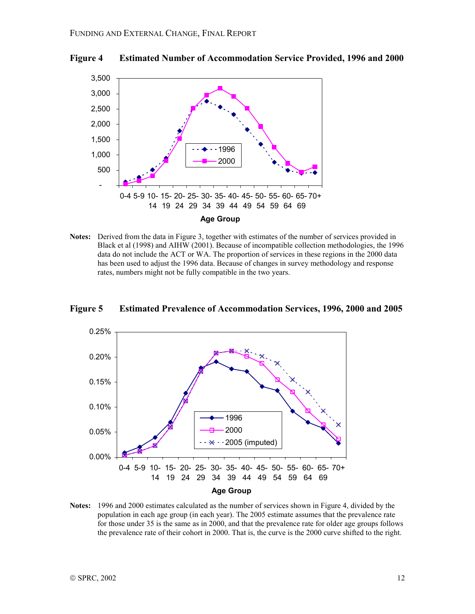



**Notes:** Derived from the data in Figure 3, together with estimates of the number of services provided in Black et al (1998) and AIHW (2001). Because of incompatible collection methodologies, the 1996 data do not include the ACT or WA. The proportion of services in these regions in the 2000 data has been used to adjust the 1996 data. Because of changes in survey methodology and response rates, numbers might not be fully compatible in the two years.





**Notes:** 1996 and 2000 estimates calculated as the number of services shown in Figure 4, divided by the population in each age group (in each year). The 2005 estimate assumes that the prevalence rate for those under 35 is the same as in 2000, and that the prevalence rate for older age groups follows the prevalence rate of their cohort in 2000. That is, the curve is the 2000 curve shifted to the right.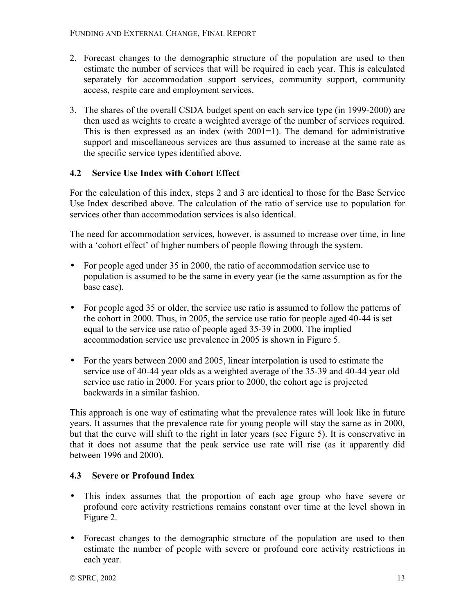- 2. Forecast changes to the demographic structure of the population are used to then estimate the number of services that will be required in each year. This is calculated separately for accommodation support services, community support, community access, respite care and employment services.
- 3. The shares of the overall CSDA budget spent on each service type (in 1999-2000) are then used as weights to create a weighted average of the number of services required. This is then expressed as an index (with 2001=1). The demand for administrative support and miscellaneous services are thus assumed to increase at the same rate as the specific service types identified above.

## **4.2 Service Use Index with Cohort Effect**

For the calculation of this index, steps 2 and 3 are identical to those for the Base Service Use Index described above. The calculation of the ratio of service use to population for services other than accommodation services is also identical.

The need for accommodation services, however, is assumed to increase over time, in line with a 'cohort effect' of higher numbers of people flowing through the system.

- For people aged under 35 in 2000, the ratio of accommodation service use to population is assumed to be the same in every year (ie the same assumption as for the base case).
- For people aged 35 or older, the service use ratio is assumed to follow the patterns of the cohort in 2000. Thus, in 2005, the service use ratio for people aged 40-44 is set equal to the service use ratio of people aged 35-39 in 2000. The implied accommodation service use prevalence in 2005 is shown in Figure 5.
- For the years between 2000 and 2005, linear interpolation is used to estimate the service use of 40-44 year olds as a weighted average of the 35-39 and 40-44 year old service use ratio in 2000. For years prior to 2000, the cohort age is projected backwards in a similar fashion.

This approach is one way of estimating what the prevalence rates will look like in future years. It assumes that the prevalence rate for young people will stay the same as in 2000, but that the curve will shift to the right in later years (see Figure 5). It is conservative in that it does not assume that the peak service use rate will rise (as it apparently did between 1996 and 2000).

## **4.3 Severe or Profound Index**

- This index assumes that the proportion of each age group who have severe or profound core activity restrictions remains constant over time at the level shown in Figure 2.
- Forecast changes to the demographic structure of the population are used to then estimate the number of people with severe or profound core activity restrictions in each year.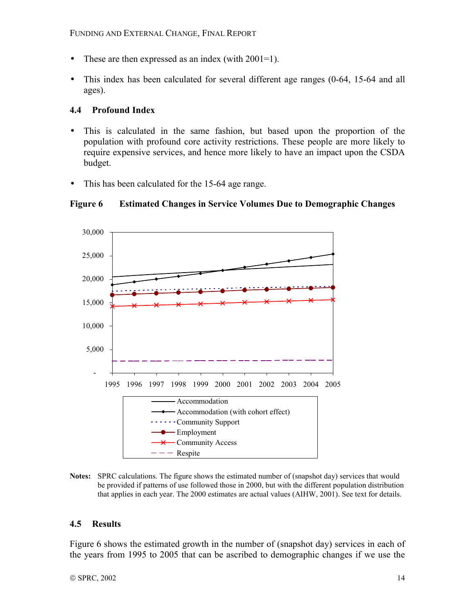- These are then expressed as an index (with  $2001=1$ ).
- This index has been calculated for several different age ranges (0-64, 15-64 and all ages).

#### **4.4 Profound Index**

- This is calculated in the same fashion, but based upon the proportion of the population with profound core activity restrictions. These people are more likely to require expensive services, and hence more likely to have an impact upon the CSDA budget.
- This has been calculated for the 15-64 age range.



#### **Figure 6 Estimated Changes in Service Volumes Due to Demographic Changes**

**Notes:** SPRC calculations. The figure shows the estimated number of (snapshot day) services that would be provided if patterns of use followed those in 2000, but with the different population distribution that applies in each year. The 2000 estimates are actual values (AIHW, 2001). See text for details.

#### **4.5 Results**

Figure 6 shows the estimated growth in the number of (snapshot day) services in each of the years from 1995 to 2005 that can be ascribed to demographic changes if we use the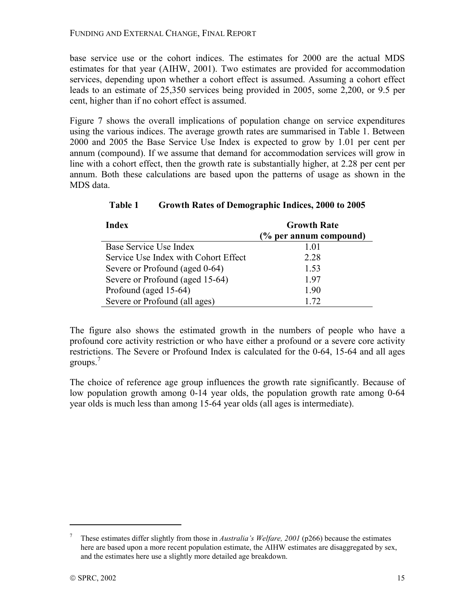base service use or the cohort indices. The estimates for 2000 are the actual MDS estimates for that year (AIHW, 2001). Two estimates are provided for accommodation services, depending upon whether a cohort effect is assumed. Assuming a cohort effect leads to an estimate of 25,350 services being provided in 2005, some 2,200, or 9.5 per cent, higher than if no cohort effect is assumed.

Figure 7 shows the overall implications of population change on service expenditures using the various indices. The average growth rates are summarised in Table 1. Between 2000 and 2005 the Base Service Use Index is expected to grow by 1.01 per cent per annum (compound). If we assume that demand for accommodation services will grow in line with a cohort effect, then the growth rate is substantially higher, at 2.28 per cent per annum. Both these calculations are based upon the patterns of usage as shown in the MDS data.

| <b>Index</b>                         | <b>Growth Rate</b>     |  |
|--------------------------------------|------------------------|--|
|                                      | (% per annum compound) |  |
| Base Service Use Index               | 1.01                   |  |
| Service Use Index with Cohort Effect | 2.28                   |  |
| Severe or Profound (aged 0-64)       | 1.53                   |  |
| Severe or Profound (aged 15-64)      | 1.97                   |  |
| Profound (aged 15-64)                | 1.90                   |  |
| Severe or Profound (all ages)        | 1.72                   |  |

**Table 1 Growth Rates of Demographic Indices, 2000 to 2005** 

The figure also shows the estimated growth in the numbers of people who have a profound core activity restriction or who have either a profound or a severe core activity restrictions. The Severe or Profound Index is calculated for the 0-64, 15-64 and all ages groups.<sup>7</sup>

The choice of reference age group influences the growth rate significantly. Because of low population growth among 0-14 year olds, the population growth rate among 0-64 year olds is much less than among 15-64 year olds (all ages is intermediate).

<sup>7</sup> These estimates differ slightly from those in *Australiaís Welfare, 2001* (p266) because the estimates here are based upon a more recent population estimate, the AIHW estimates are disaggregated by sex, and the estimates here use a slightly more detailed age breakdown.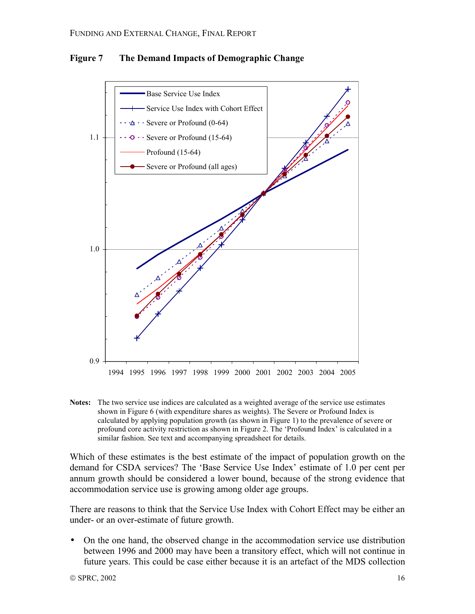

**Figure 7 The Demand Impacts of Demographic Change** 

**Notes:** The two service use indices are calculated as a weighted average of the service use estimates shown in Figure 6 (with expenditure shares as weights). The Severe or Profound Index is calculated by applying population growth (as shown in Figure 1) to the prevalence of severe or profound core activity restriction as shown in Figure 2. The 'Profound Index' is calculated in a similar fashion. See text and accompanying spreadsheet for details.

Which of these estimates is the best estimate of the impact of population growth on the demand for CSDA services? The 'Base Service Use Index' estimate of 1.0 per cent per annum growth should be considered a lower bound, because of the strong evidence that accommodation service use is growing among older age groups.

There are reasons to think that the Service Use Index with Cohort Effect may be either an under- or an over-estimate of future growth.

• On the one hand, the observed change in the accommodation service use distribution between 1996 and 2000 may have been a transitory effect, which will not continue in future years. This could be case either because it is an artefact of the MDS collection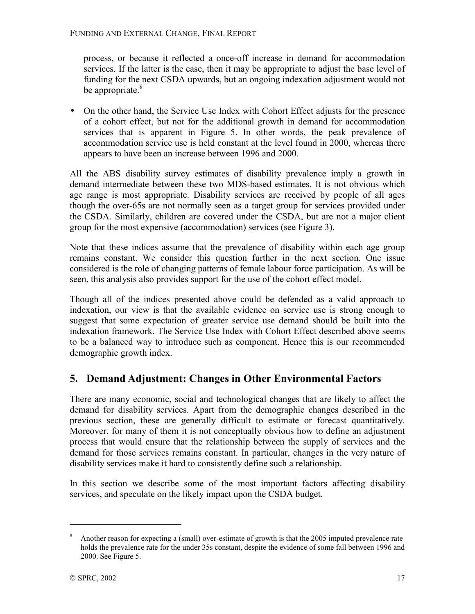process, or because it reflected a once-off increase in demand for accommodation services. If the latter is the case, then it may be appropriate to adjust the base level of funding for the next CSDA upwards, but an ongoing indexation adjustment would not be appropriate.<sup>8</sup>

• On the other hand, the Service Use Index with Cohort Effect adjusts for the presence of a cohort effect, but not for the additional growth in demand for accommodation services that is apparent in Figure 5. In other words, the peak prevalence of accommodation service use is held constant at the level found in 2000, whereas there appears to have been an increase between 1996 and 2000.

All the ABS disability survey estimates of disability prevalence imply a growth in demand intermediate between these two MDS-based estimates. It is not obvious which age range is most appropriate. Disability services are received by people of all ages though the over-65s are not normally seen as a target group for services provided under the CSDA. Similarly, children are covered under the CSDA, but are not a major client group for the most expensive (accommodation) services (see Figure 3).

Note that these indices assume that the prevalence of disability within each age group remains constant. We consider this question further in the next section. One issue considered is the role of changing patterns of female labour force participation. As will be seen, this analysis also provides support for the use of the cohort effect model.

Though all of the indices presented above could be defended as a valid approach to indexation, our view is that the available evidence on service use is strong enough to suggest that some expectation of greater service use demand should be built into the indexation framework. The Service Use Index with Cohort Effect described above seems to be a balanced way to introduce such as component. Hence this is our recommended demographic growth index.

## **5. Demand Adjustment: Changes in Other Environmental Factors**

There are many economic, social and technological changes that are likely to affect the demand for disability services. Apart from the demographic changes described in the previous section, these are generally difficult to estimate or forecast quantitatively. Moreover, for many of them it is not conceptually obvious how to define an adjustment process that would ensure that the relationship between the supply of services and the demand for those services remains constant. In particular, changes in the very nature of disability services make it hard to consistently define such a relationship.

In this section we describe some of the most important factors affecting disability services, and speculate on the likely impact upon the CSDA budget.

<sup>8</sup> Another reason for expecting a (small) over-estimate of growth is that the 2005 imputed prevalence rate holds the prevalence rate for the under 35s constant, despite the evidence of some fall between 1996 and 2000. See Figure 5.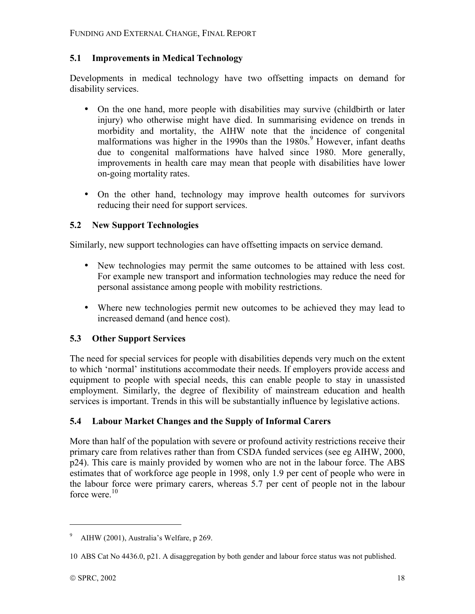## **5.1 Improvements in Medical Technology**

Developments in medical technology have two offsetting impacts on demand for disability services.

- On the one hand, more people with disabilities may survive (childbirth or later injury) who otherwise might have died. In summarising evidence on trends in morbidity and mortality, the AIHW note that the incidence of congenital malformations was higher in the 1990s than the 1980s.<sup>9</sup> However, infant deaths due to congenital malformations have halved since 1980. More generally, improvements in health care may mean that people with disabilities have lower on-going mortality rates.
- On the other hand, technology may improve health outcomes for survivors reducing their need for support services.

## **5.2 New Support Technologies**

Similarly, new support technologies can have offsetting impacts on service demand.

- New technologies may permit the same outcomes to be attained with less cost. For example new transport and information technologies may reduce the need for personal assistance among people with mobility restrictions.
- Where new technologies permit new outcomes to be achieved they may lead to increased demand (and hence cost).

## **5.3 Other Support Services**

The need for special services for people with disabilities depends very much on the extent to which ënormalí institutions accommodate their needs. If employers provide access and equipment to people with special needs, this can enable people to stay in unassisted employment. Similarly, the degree of flexibility of mainstream education and health services is important. Trends in this will be substantially influence by legislative actions.

## **5.4 Labour Market Changes and the Supply of Informal Carers**

More than half of the population with severe or profound activity restrictions receive their primary care from relatives rather than from CSDA funded services (see eg AIHW, 2000, p24). This care is mainly provided by women who are not in the labour force. The ABS estimates that of workforce age people in 1998, only 1.9 per cent of people who were in the labour force were primary carers, whereas 5.7 per cent of people not in the labour force were. $10$ 

<sup>&</sup>lt;sup>9</sup> AIHW (2001), Australia's Welfare, p 269.

<sup>10</sup> ABS Cat No 4436.0, p21. A disaggregation by both gender and labour force status was not published.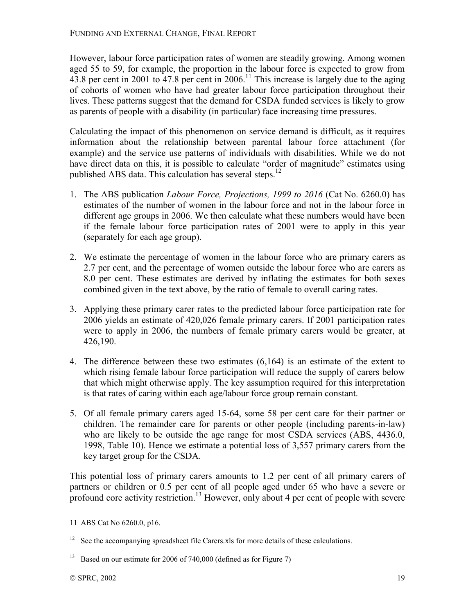However, labour force participation rates of women are steadily growing. Among women aged 55 to 59, for example, the proportion in the labour force is expected to grow from 43.8 per cent in 2001 to 47.8 per cent in 2006.<sup>11</sup> This increase is largely due to the aging of cohorts of women who have had greater labour force participation throughout their lives. These patterns suggest that the demand for CSDA funded services is likely to grow as parents of people with a disability (in particular) face increasing time pressures.

Calculating the impact of this phenomenon on service demand is difficult, as it requires information about the relationship between parental labour force attachment (for example) and the service use patterns of individuals with disabilities. While we do not have direct data on this, it is possible to calculate "order of magnitude" estimates using published ABS data. This calculation has several steps. $^{12}$ 

- 1. The ABS publication *Labour Force, Projections, 1999 to 2016* (Cat No. 6260.0) has estimates of the number of women in the labour force and not in the labour force in different age groups in 2006. We then calculate what these numbers would have been if the female labour force participation rates of 2001 were to apply in this year (separately for each age group).
- 2. We estimate the percentage of women in the labour force who are primary carers as 2.7 per cent, and the percentage of women outside the labour force who are carers as 8.0 per cent. These estimates are derived by inflating the estimates for both sexes combined given in the text above, by the ratio of female to overall caring rates.
- 3. Applying these primary carer rates to the predicted labour force participation rate for 2006 yields an estimate of 420,026 female primary carers. If 2001 participation rates were to apply in 2006, the numbers of female primary carers would be greater, at 426,190.
- 4. The difference between these two estimates (6,164) is an estimate of the extent to which rising female labour force participation will reduce the supply of carers below that which might otherwise apply. The key assumption required for this interpretation is that rates of caring within each age/labour force group remain constant.
- 5. Of all female primary carers aged 15-64, some 58 per cent care for their partner or children. The remainder care for parents or other people (including parents-in-law) who are likely to be outside the age range for most CSDA services (ABS, 4436.0, 1998, Table 10). Hence we estimate a potential loss of 3,557 primary carers from the key target group for the CSDA.

This potential loss of primary carers amounts to 1.2 per cent of all primary carers of partners or children or 0.5 per cent of all people aged under 65 who have a severe or profound core activity restriction.<sup>13</sup> However, only about 4 per cent of people with severe

<u>.</u>

<sup>11</sup> ABS Cat No 6260.0, p16.

 $12$  See the accompanying spreadsheet file Carers.xls for more details of these calculations.

<sup>&</sup>lt;sup>13</sup> Based on our estimate for 2006 of 740,000 (defined as for Figure 7)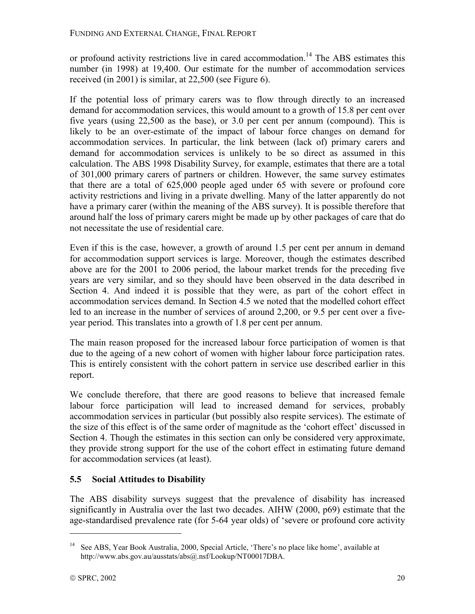or profound activity restrictions live in cared accommodation.<sup>14</sup> The ABS estimates this number (in 1998) at 19,400. Our estimate for the number of accommodation services received (in 2001) is similar, at 22,500 (see Figure 6).

If the potential loss of primary carers was to flow through directly to an increased demand for accommodation services, this would amount to a growth of 15.8 per cent over five years (using 22,500 as the base), or 3.0 per cent per annum (compound). This is likely to be an over-estimate of the impact of labour force changes on demand for accommodation services. In particular, the link between (lack of) primary carers and demand for accommodation services is unlikely to be so direct as assumed in this calculation. The ABS 1998 Disability Survey, for example, estimates that there are a total of 301,000 primary carers of partners or children. However, the same survey estimates that there are a total of 625,000 people aged under 65 with severe or profound core activity restrictions and living in a private dwelling. Many of the latter apparently do not have a primary carer (within the meaning of the ABS survey). It is possible therefore that around half the loss of primary carers might be made up by other packages of care that do not necessitate the use of residential care.

Even if this is the case, however, a growth of around 1.5 per cent per annum in demand for accommodation support services is large. Moreover, though the estimates described above are for the 2001 to 2006 period, the labour market trends for the preceding five years are very similar, and so they should have been observed in the data described in Section 4. And indeed it is possible that they were, as part of the cohort effect in accommodation services demand. In Section 4.5 we noted that the modelled cohort effect led to an increase in the number of services of around 2,200, or 9.5 per cent over a fiveyear period. This translates into a growth of 1.8 per cent per annum.

The main reason proposed for the increased labour force participation of women is that due to the ageing of a new cohort of women with higher labour force participation rates. This is entirely consistent with the cohort pattern in service use described earlier in this report.

We conclude therefore, that there are good reasons to believe that increased female labour force participation will lead to increased demand for services, probably accommodation services in particular (but possibly also respite services). The estimate of the size of this effect is of the same order of magnitude as the 'cohort effect' discussed in Section 4. Though the estimates in this section can only be considered very approximate, they provide strong support for the use of the cohort effect in estimating future demand for accommodation services (at least).

## **5.5 Social Attitudes to Disability**

The ABS disability surveys suggest that the prevalence of disability has increased significantly in Australia over the last two decades. AIHW (2000, p69) estimate that the age-standardised prevalence rate (for 5-64 year olds) of 'severe or profound core activity

<sup>&</sup>lt;sup>14</sup> See ABS, Year Book Australia, 2000, Special Article, 'There's no place like home', available at http://www.abs.gov.au/ausstats/abs@.nsf/Lookup/NT00017DBA.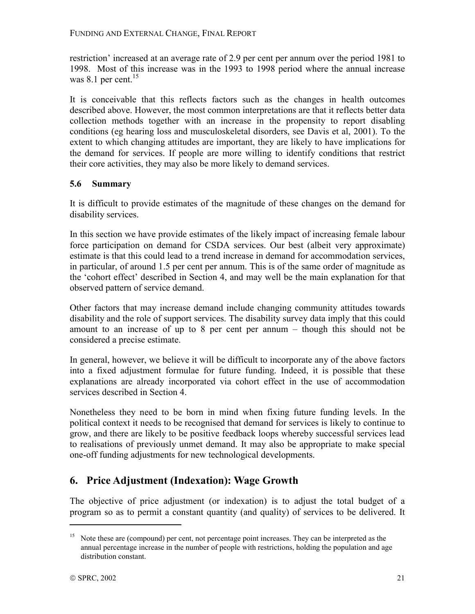restriction' increased at an average rate of 2.9 per cent per annum over the period 1981 to 1998. Most of this increase was in the 1993 to 1998 period where the annual increase was 8.1 per cent. $15$ 

It is conceivable that this reflects factors such as the changes in health outcomes described above. However, the most common interpretations are that it reflects better data collection methods together with an increase in the propensity to report disabling conditions (eg hearing loss and musculoskeletal disorders, see Davis et al, 2001). To the extent to which changing attitudes are important, they are likely to have implications for the demand for services. If people are more willing to identify conditions that restrict their core activities, they may also be more likely to demand services.

## **5.6 Summary**

It is difficult to provide estimates of the magnitude of these changes on the demand for disability services.

In this section we have provide estimates of the likely impact of increasing female labour force participation on demand for CSDA services. Our best (albeit very approximate) estimate is that this could lead to a trend increase in demand for accommodation services, in particular, of around 1.5 per cent per annum. This is of the same order of magnitude as the 'cohort effect' described in Section 4, and may well be the main explanation for that observed pattern of service demand.

Other factors that may increase demand include changing community attitudes towards disability and the role of support services. The disability survey data imply that this could amount to an increase of up to 8 per cent per annum  $-$  though this should not be considered a precise estimate.

In general, however, we believe it will be difficult to incorporate any of the above factors into a fixed adjustment formulae for future funding. Indeed, it is possible that these explanations are already incorporated via cohort effect in the use of accommodation services described in Section 4.

Nonetheless they need to be born in mind when fixing future funding levels. In the political context it needs to be recognised that demand for services is likely to continue to grow, and there are likely to be positive feedback loops whereby successful services lead to realisations of previously unmet demand. It may also be appropriate to make special one-off funding adjustments for new technological developments.

## **6. Price Adjustment (Indexation): Wage Growth**

The objective of price adjustment (or indexation) is to adjust the total budget of a program so as to permit a constant quantity (and quality) of services to be delivered. It

Note these are (compound) per cent, not percentage point increases. They can be interpreted as the annual percentage increase in the number of people with restrictions, holding the population and age distribution constant.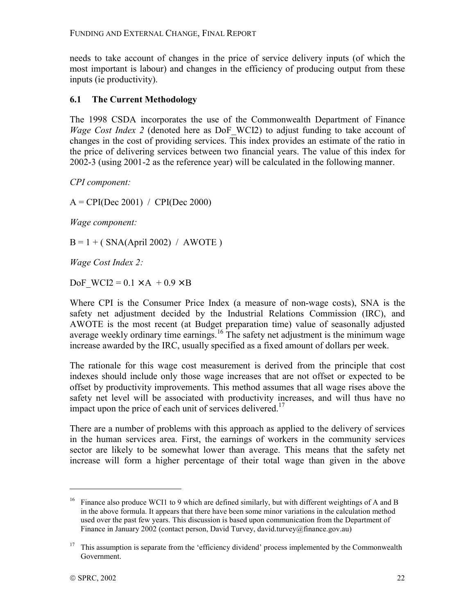needs to take account of changes in the price of service delivery inputs (of which the most important is labour) and changes in the efficiency of producing output from these inputs (ie productivity).

#### **6.1 The Current Methodology**

The 1998 CSDA incorporates the use of the Commonwealth Department of Finance *Wage Cost Index 2* (denoted here as DoF WCI2) to adjust funding to take account of changes in the cost of providing services. This index provides an estimate of the ratio in the price of delivering services between two financial years. The value of this index for 2002-3 (using 2001-2 as the reference year) will be calculated in the following manner.

*CPI component:* 

 $A = CPI(Dec 2001) / CPI(Dec 2000)$ 

*Wage component:* 

 $B = 1 + (SNA(Apri1 2002) / AWOTE)$ 

*Wage Cost Index 2:* 

DoF WCI2 =  $0.1 \times A$  +  $0.9 \times B$ 

Where CPI is the Consumer Price Index (a measure of non-wage costs), SNA is the safety net adjustment decided by the Industrial Relations Commission (IRC), and AWOTE is the most recent (at Budget preparation time) value of seasonally adjusted average weekly ordinary time earnings.<sup>16</sup> The safety net adjustment is the minimum wage increase awarded by the IRC, usually specified as a fixed amount of dollars per week.

The rationale for this wage cost measurement is derived from the principle that cost indexes should include only those wage increases that are not offset or expected to be offset by productivity improvements. This method assumes that all wage rises above the safety net level will be associated with productivity increases, and will thus have no impact upon the price of each unit of services delivered.<sup>17</sup>

There are a number of problems with this approach as applied to the delivery of services in the human services area. First, the earnings of workers in the community services sector are likely to be somewhat lower than average. This means that the safety net increase will form a higher percentage of their total wage than given in the above

<u>.</u>

<sup>&</sup>lt;sup>16</sup> Finance also produce WCI1 to 9 which are defined similarly, but with different weightings of A and B in the above formula. It appears that there have been some minor variations in the calculation method used over the past few years. This discussion is based upon communication from the Department of Finance in January 2002 (contact person, David Turvey, david.turvey@finance.gov.au)

 $17$  This assumption is separate from the 'efficiency dividend' process implemented by the Commonwealth Government.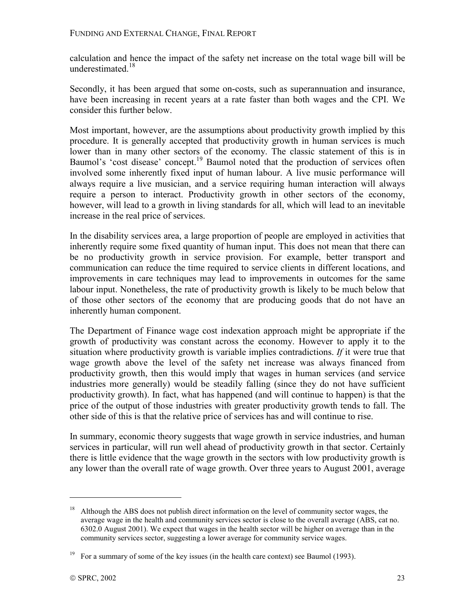calculation and hence the impact of the safety net increase on the total wage bill will be underestimated.<sup>18</sup>

Secondly, it has been argued that some on-costs, such as superannuation and insurance, have been increasing in recent years at a rate faster than both wages and the CPI. We consider this further below.

Most important, however, are the assumptions about productivity growth implied by this procedure. It is generally accepted that productivity growth in human services is much lower than in many other sectors of the economy. The classic statement of this is in Baumol's 'cost disease' concept.<sup>19</sup> Baumol noted that the production of services often involved some inherently fixed input of human labour. A live music performance will always require a live musician, and a service requiring human interaction will always require a person to interact. Productivity growth in other sectors of the economy, however, will lead to a growth in living standards for all, which will lead to an inevitable increase in the real price of services.

In the disability services area, a large proportion of people are employed in activities that inherently require some fixed quantity of human input. This does not mean that there can be no productivity growth in service provision. For example, better transport and communication can reduce the time required to service clients in different locations, and improvements in care techniques may lead to improvements in outcomes for the same labour input. Nonetheless, the rate of productivity growth is likely to be much below that of those other sectors of the economy that are producing goods that do not have an inherently human component.

The Department of Finance wage cost indexation approach might be appropriate if the growth of productivity was constant across the economy. However to apply it to the situation where productivity growth is variable implies contradictions. *If* it were true that wage growth above the level of the safety net increase was always financed from productivity growth, then this would imply that wages in human services (and service industries more generally) would be steadily falling (since they do not have sufficient productivity growth). In fact, what has happened (and will continue to happen) is that the price of the output of those industries with greater productivity growth tends to fall. The other side of this is that the relative price of services has and will continue to rise.

In summary, economic theory suggests that wage growth in service industries, and human services in particular, will run well ahead of productivity growth in that sector. Certainly there is little evidence that the wage growth in the sectors with low productivity growth is any lower than the overall rate of wage growth. Over three years to August 2001, average

<sup>&</sup>lt;sup>18</sup> Although the ABS does not publish direct information on the level of community sector wages, the average wage in the health and community services sector is close to the overall average (ABS, cat no. 6302.0 August 2001). We expect that wages in the health sector will be higher on average than in the community services sector, suggesting a lower average for community service wages.

<sup>&</sup>lt;sup>19</sup> For a summary of some of the key issues (in the health care context) see Baumol (1993).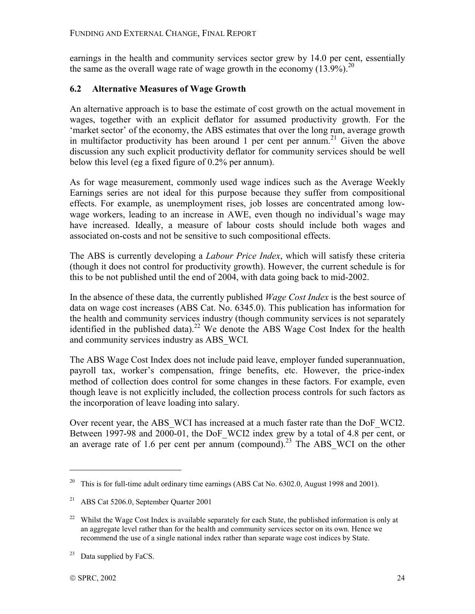earnings in the health and community services sector grew by 14.0 per cent, essentially the same as the overall wage rate of wage growth in the economy  $(13.9\%)$ <sup>20</sup>

## **6.2 Alternative Measures of Wage Growth**

An alternative approach is to base the estimate of cost growth on the actual movement in wages, together with an explicit deflator for assumed productivity growth. For the 'market sector' of the economy, the ABS estimates that over the long run, average growth in multifactor productivity has been around 1 per cent per annum.<sup>21</sup> Given the above discussion any such explicit productivity deflator for community services should be well below this level (eg a fixed figure of 0.2% per annum).

As for wage measurement, commonly used wage indices such as the Average Weekly Earnings series are not ideal for this purpose because they suffer from compositional effects. For example, as unemployment rises, job losses are concentrated among lowwage workers, leading to an increase in AWE, even though no individual's wage may have increased. Ideally, a measure of labour costs should include both wages and associated on-costs and not be sensitive to such compositional effects.

The ABS is currently developing a *Labour Price Index*, which will satisfy these criteria (though it does not control for productivity growth). However, the current schedule is for this to be not published until the end of 2004, with data going back to mid-2002.

In the absence of these data, the currently published *Wage Cost Index* is the best source of data on wage cost increases (ABS Cat. No. 6345.0). This publication has information for the health and community services industry (though community services is not separately identified in the published data).<sup>22</sup> We denote the ABS Wage Cost Index for the health and community services industry as ABS\_WCI.

The ABS Wage Cost Index does not include paid leave, employer funded superannuation, payroll tax, worker's compensation, fringe benefits, etc. However, the price-index method of collection does control for some changes in these factors. For example, even though leave is not explicitly included, the collection process controls for such factors as the incorporation of leave loading into salary.

Over recent year, the ABS WCI has increased at a much faster rate than the DoF WCI2. Between 1997-98 and 2000-01, the DoF\_WCI2 index grew by a total of 4.8 per cent, or an average rate of 1.6 per cent per annum (compound).<sup>23</sup> The ABS WCI on the other

<u>.</u>

<sup>&</sup>lt;sup>20</sup> This is for full-time adult ordinary time earnings (ABS Cat No. 6302.0, August 1998 and 2001).

<sup>21</sup> ABS Cat 5206.0, September Quarter 2001

<sup>&</sup>lt;sup>22</sup> Whilst the Wage Cost Index is available separately for each State, the published information is only at an aggregate level rather than for the health and community services sector on its own. Hence we recommend the use of a single national index rather than separate wage cost indices by State.

 $23$  Data supplied by FaCS.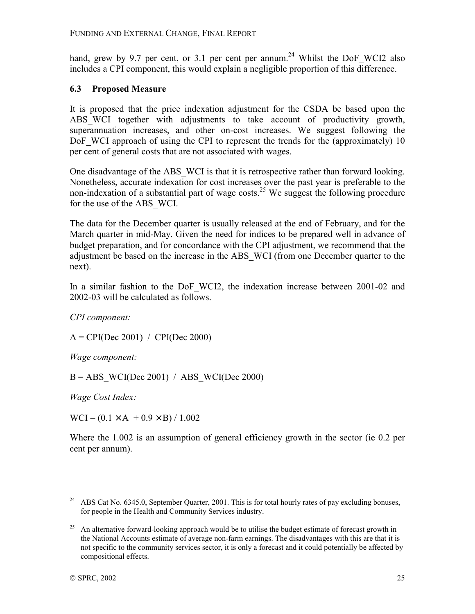hand, grew by 9.7 per cent, or 3.1 per cent per annum.<sup>24</sup> Whilst the DoF WCI2 also includes a CPI component, this would explain a negligible proportion of this difference.

## **6.3 Proposed Measure**

It is proposed that the price indexation adjustment for the CSDA be based upon the ABS WCI together with adjustments to take account of productivity growth, superannuation increases, and other on-cost increases. We suggest following the DoF WCI approach of using the CPI to represent the trends for the (approximately) 10 per cent of general costs that are not associated with wages.

One disadvantage of the ABS\_WCI is that it is retrospective rather than forward looking. Nonetheless, accurate indexation for cost increases over the past year is preferable to the non-indexation of a substantial part of wage costs.<sup>25</sup> We suggest the following procedure for the use of the ABS\_WCI.

The data for the December quarter is usually released at the end of February, and for the March quarter in mid-May. Given the need for indices to be prepared well in advance of budget preparation, and for concordance with the CPI adjustment, we recommend that the adjustment be based on the increase in the ABS\_WCI (from one December quarter to the next).

In a similar fashion to the DoF WCI2, the indexation increase between 2001-02 and 2002-03 will be calculated as follows.

*CPI component:* 

A = CPI(Dec 2001) / CPI(Dec 2000)

*Wage component:* 

 $B = ABS$  WCI(Dec 2001) / ABS WCI(Dec 2000)

*Wage Cost Index:* 

 $WCI = (0.1 \times A + 0.9 \times B) / 1.002$ 

Where the 1.002 is an assumption of general efficiency growth in the sector (ie 0.2 per cent per annum).

<u>.</u>

<sup>&</sup>lt;sup>24</sup> ABS Cat No. 6345.0, September Quarter, 2001. This is for total hourly rates of pay excluding bonuses, for people in the Health and Community Services industry.

<sup>&</sup>lt;sup>25</sup> An alternative forward-looking approach would be to utilise the budget estimate of forecast growth in the National Accounts estimate of average non-farm earnings. The disadvantages with this are that it is not specific to the community services sector, it is only a forecast and it could potentially be affected by compositional effects.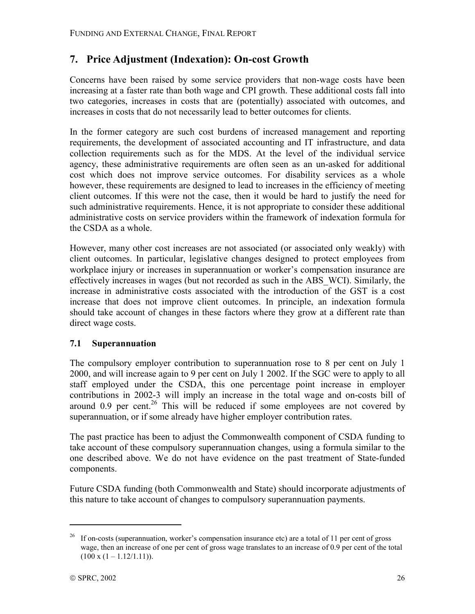## **7. Price Adjustment (Indexation): On-cost Growth**

Concerns have been raised by some service providers that non-wage costs have been increasing at a faster rate than both wage and CPI growth. These additional costs fall into two categories, increases in costs that are (potentially) associated with outcomes, and increases in costs that do not necessarily lead to better outcomes for clients.

In the former category are such cost burdens of increased management and reporting requirements, the development of associated accounting and IT infrastructure, and data collection requirements such as for the MDS. At the level of the individual service agency, these administrative requirements are often seen as an un-asked for additional cost which does not improve service outcomes. For disability services as a whole however, these requirements are designed to lead to increases in the efficiency of meeting client outcomes. If this were not the case, then it would be hard to justify the need for such administrative requirements. Hence, it is not appropriate to consider these additional administrative costs on service providers within the framework of indexation formula for the CSDA as a whole.

However, many other cost increases are not associated (or associated only weakly) with client outcomes. In particular, legislative changes designed to protect employees from workplace injury or increases in superannuation or worker's compensation insurance are effectively increases in wages (but not recorded as such in the ABS\_WCI). Similarly, the increase in administrative costs associated with the introduction of the GST is a cost increase that does not improve client outcomes. In principle, an indexation formula should take account of changes in these factors where they grow at a different rate than direct wage costs.

## **7.1 Superannuation**

The compulsory employer contribution to superannuation rose to 8 per cent on July 1 2000, and will increase again to 9 per cent on July 1 2002. If the SGC were to apply to all staff employed under the CSDA, this one percentage point increase in employer contributions in 2002-3 will imply an increase in the total wage and on-costs bill of around  $0.9$  per cent.<sup>26</sup> This will be reduced if some employees are not covered by superannuation, or if some already have higher employer contribution rates.

The past practice has been to adjust the Commonwealth component of CSDA funding to take account of these compulsory superannuation changes, using a formula similar to the one described above. We do not have evidence on the past treatment of State-funded components.

Future CSDA funding (both Commonwealth and State) should incorporate adjustments of this nature to take account of changes to compulsory superannuation payments.

If on-costs (superannuation, worker's compensation insurance etc) are a total of 11 per cent of gross wage, then an increase of one per cent of gross wage translates to an increase of 0.9 per cent of the total  $(100 \times (1 - 1.12/1.11)).$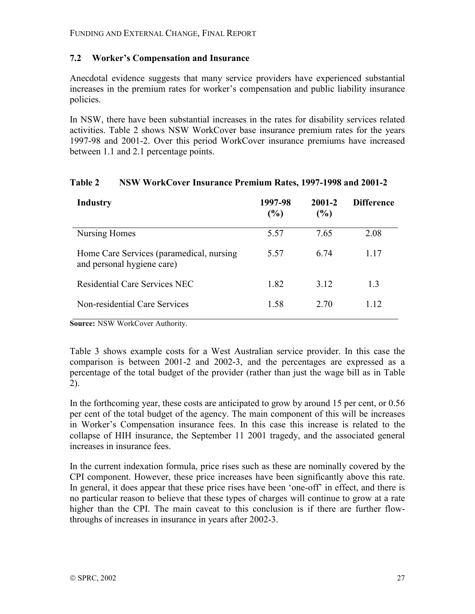#### **7.2 Workerís Compensation and Insurance**

Anecdotal evidence suggests that many service providers have experienced substantial increases in the premium rates for worker's compensation and public liability insurance policies.

In NSW, there have been substantial increases in the rates for disability services related activities. Table 2 shows NSW WorkCover base insurance premium rates for the years 1997-98 and 2001-2. Over this period WorkCover insurance premiums have increased between 1.1 and 2.1 percentage points.

| Industry                                                               | 1997-98<br>(%) | 2001-2<br>(%) | <b>Difference</b> |
|------------------------------------------------------------------------|----------------|---------------|-------------------|
| Nursing Homes                                                          | 5.57           | 7.65          | 2.08              |
| Home Care Services (paramedical, nursing<br>and personal hygiene care) | 5.57           | 6.74          | 117               |
| Residential Care Services NEC                                          | 1.82           | 3.12          | 13                |
| Non-residential Care Services                                          | 1.58           | 2.70          | $\overline{12}$   |

#### **Table 2 NSW WorkCover Insurance Premium Rates, 1997-1998 and 2001-2**

**Source:** NSW WorkCover Authority.

Table 3 shows example costs for a West Australian service provider. In this case the comparison is between 2001-2 and 2002-3, and the percentages are expressed as a percentage of the total budget of the provider (rather than just the wage bill as in Table 2).

In the forthcoming year, these costs are anticipated to grow by around 15 per cent, or 0.56 per cent of the total budget of the agency. The main component of this will be increases in Worker's Compensation insurance fees. In this case this increase is related to the collapse of HIH insurance, the September 11 2001 tragedy, and the associated general increases in insurance fees.

In the current indexation formula, price rises such as these are nominally covered by the CPI component. However, these price increases have been significantly above this rate. In general, it does appear that these price rises have been 'one-off' in effect, and there is no particular reason to believe that these types of charges will continue to grow at a rate higher than the CPI. The main caveat to this conclusion is if there are further flowthroughs of increases in insurance in years after 2002-3.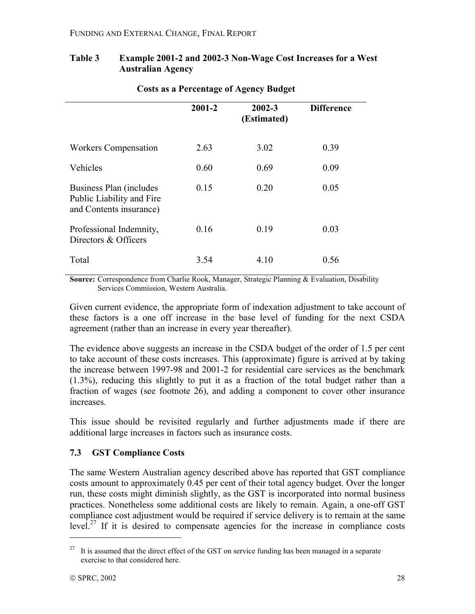#### **Table 3 Example 2001-2 and 2002-3 Non-Wage Cost Increases for a West Australian Agency**

|                                                                                 | 2001-2 | $2002 - 3$<br>(Estimated) | <b>Difference</b> |
|---------------------------------------------------------------------------------|--------|---------------------------|-------------------|
| <b>Workers Compensation</b>                                                     | 2.63   | 3.02                      | 0.39              |
| Vehicles                                                                        | 0.60   | 0.69                      | 0.09              |
| Business Plan (includes<br>Public Liability and Fire<br>and Contents insurance) | 0.15   | 0.20                      | 0.05              |
| Professional Indemnity,<br>Directors & Officers                                 | 0.16   | 0.19                      | 0.03              |
| Total                                                                           | 3.54   | 4.10                      | 0.56              |

## **Costs as a Percentage of Agency Budget**

**Source:** Correspondence from Charlie Rook, Manager, Strategic Planning & Evaluation, Disability Services Commission, Western Australia.

Given current evidence, the appropriate form of indexation adjustment to take account of these factors is a one off increase in the base level of funding for the next CSDA agreement (rather than an increase in every year thereafter).

The evidence above suggests an increase in the CSDA budget of the order of 1.5 per cent to take account of these costs increases. This (approximate) figure is arrived at by taking the increase between 1997-98 and 2001-2 for residential care services as the benchmark (1.3%), reducing this slightly to put it as a fraction of the total budget rather than a fraction of wages (see footnote 26), and adding a component to cover other insurance increases.

This issue should be revisited regularly and further adjustments made if there are additional large increases in factors such as insurance costs.

## **7.3 GST Compliance Costs**

The same Western Australian agency described above has reported that GST compliance costs amount to approximately 0.45 per cent of their total agency budget. Over the longer run, these costs might diminish slightly, as the GST is incorporated into normal business practices. Nonetheless some additional costs are likely to remain. Again, a one-off GST compliance cost adjustment would be required if service delivery is to remain at the same  $level.^{27}$  If it is desired to compensate agencies for the increase in compliance costs

<sup>&</sup>lt;sup>27</sup> It is assumed that the direct effect of the GST on service funding has been managed in a separate exercise to that considered here.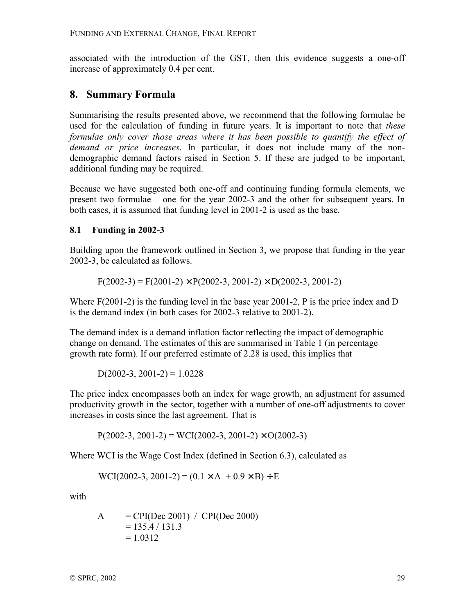associated with the introduction of the GST, then this evidence suggests a one-off increase of approximately 0.4 per cent.

## **8. Summary Formula**

Summarising the results presented above, we recommend that the following formulae be used for the calculation of funding in future years. It is important to note that *these formulae only cover those areas where it has been possible to quantify the effect of demand or price increases*. In particular, it does not include many of the nondemographic demand factors raised in Section 5. If these are judged to be important, additional funding may be required.

Because we have suggested both one-off and continuing funding formula elements, we present two formulae  $-$  one for the year 2002-3 and the other for subsequent years. In both cases, it is assumed that funding level in 2001-2 is used as the base.

## **8.1 Funding in 2002-3**

Building upon the framework outlined in Section 3, we propose that funding in the year 2002-3, be calculated as follows.

 $F(2002-3) = F(2001-2) \times P(2002-3, 2001-2) \times D(2002-3, 2001-2)$ 

Where  $F(2001-2)$  is the funding level in the base year 2001-2, P is the price index and D is the demand index (in both cases for 2002-3 relative to 2001-2).

The demand index is a demand inflation factor reflecting the impact of demographic change on demand. The estimates of this are summarised in Table 1 (in percentage growth rate form). If our preferred estimate of 2.28 is used, this implies that

D(2002-3, 2001-2) =  $1.0228$ 

The price index encompasses both an index for wage growth, an adjustment for assumed productivity growth in the sector, together with a number of one-off adjustments to cover increases in costs since the last agreement. That is

 $P(2002-3, 2001-2) = WCI(2002-3, 2001-2) \times O(2002-3)$ 

Where WCI is the Wage Cost Index (defined in Section 6.3), calculated as

WCI(2002-3, 2001-2) =  $(0.1 \times A + 0.9 \times B) \div E$ 

with

$$
A = CPI(Dec 2001) / CPI(Dec 2000)
$$
  
= 135.4 / 131.3  
= 1.0312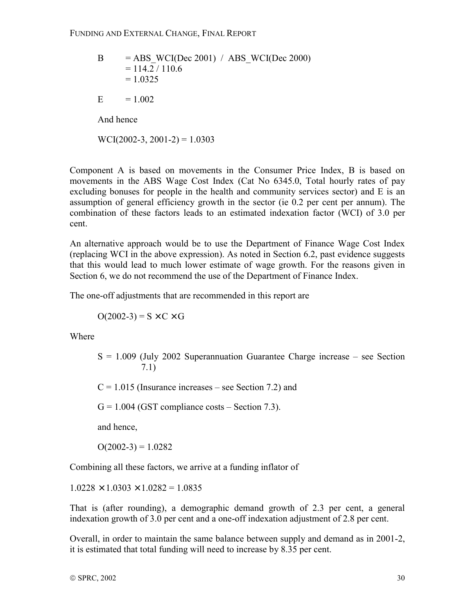B = ABS\_WCI(Dec 2001) / ABS\_WCI(Dec 2000) = 114.2 / 110.6 = 1.0325 E = 1.002 And hence WCI(2002-3, 2001-2) = 1.0303

Component A is based on movements in the Consumer Price Index, B is based on movements in the ABS Wage Cost Index (Cat No 6345.0, Total hourly rates of pay excluding bonuses for people in the health and community services sector) and E is an assumption of general efficiency growth in the sector (ie 0.2 per cent per annum). The combination of these factors leads to an estimated indexation factor (WCI) of 3.0 per cent.

An alternative approach would be to use the Department of Finance Wage Cost Index (replacing WCI in the above expression). As noted in Section 6.2, past evidence suggests that this would lead to much lower estimate of wage growth. For the reasons given in Section 6, we do not recommend the use of the Department of Finance Index.

The one-off adjustments that are recommended in this report are

 $O(2002-3) = S \times C \times G$ 

Where

 $S = 1.009$  (July 2002 Superannuation Guarantee Charge increase – see Section 7.1)

 $C = 1.015$  (Insurance increases – see Section 7.2) and

 $G = 1.004$  (GST compliance costs – Section 7.3).

and hence,

 $O(2002-3) = 1.0282$ 

Combining all these factors, we arrive at a funding inflator of

 $1.0228 \times 1.0303 \times 1.0282 = 1.0835$ 

That is (after rounding), a demographic demand growth of 2.3 per cent, a general indexation growth of 3.0 per cent and a one-off indexation adjustment of 2.8 per cent.

Overall, in order to maintain the same balance between supply and demand as in 2001-2, it is estimated that total funding will need to increase by 8.35 per cent.